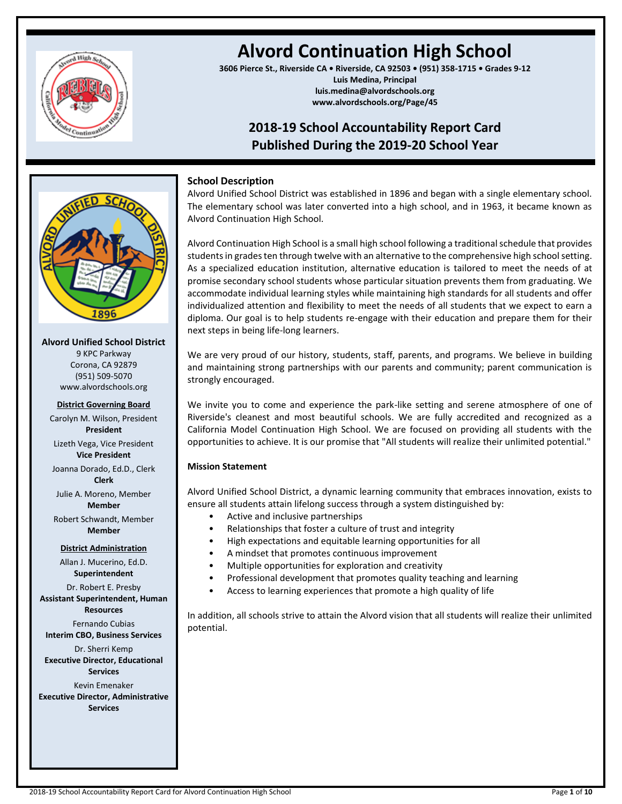

# **Alvord Continuation High School**

**3606 Pierce St., Riverside CA • Riverside, CA 92503 • (951) 358-1715 • Grades 9-12 Luis Medina, Principal luis.medina@alvordschools.org www.alvordschools.org/Page/45**

## **2018-19 School Accountability Report Card Published During the 2019-20 School Year**



### **Alvord Unified School District**

9 KPC Parkway Corona, CA 92879 (951) 509-5070 www.alvordschools.org

### **District Governing Board**

Carolyn M. Wilson, President **President**

Lizeth Vega, Vice President **Vice President**

Joanna Dorado, Ed.D., Clerk **Clerk**

Julie A. Moreno, Member **Member**

Robert Schwandt, Member **Member**

### **District Administration**

Allan J. Mucerino, Ed.D. **Superintendent** Dr. Robert E. Presby **Assistant Superintendent, Human Resources** Fernando Cubias **Interim CBO, Business Services** Dr. Sherri Kemp **Executive Director, Educational Services** Kevin Emenaker **Executive Director, Administrative Services**

### **School Description**

Alvord Unified School District was established in 1896 and began with a single elementary school. The elementary school was later converted into a high school, and in 1963, it became known as Alvord Continuation High School.

Alvord Continuation High School is a small high school following a traditional schedule that provides students in grades ten through twelve with an alternative to the comprehensive high school setting. As a specialized education institution, alternative education is tailored to meet the needs of at promise secondary school students whose particular situation prevents them from graduating. We accommodate individual learning styles while maintaining high standards for all students and offer individualized attention and flexibility to meet the needs of all students that we expect to earn a diploma. Our goal is to help students re-engage with their education and prepare them for their next steps in being life-long learners.

We are very proud of our history, students, staff, parents, and programs. We believe in building and maintaining strong partnerships with our parents and community; parent communication is strongly encouraged.

We invite you to come and experience the park-like setting and serene atmosphere of one of Riverside's cleanest and most beautiful schools. We are fully accredited and recognized as a California Model Continuation High School. We are focused on providing all students with the opportunities to achieve. It is our promise that "All students will realize their unlimited potential."

### **Mission Statement**

Alvord Unified School District, a dynamic learning community that embraces innovation, exists to ensure all students attain lifelong success through a system distinguished by:

- Active and inclusive partnerships
- Relationships that foster a culture of trust and integrity
- High expectations and equitable learning opportunities for all
- A mindset that promotes continuous improvement
- Multiple opportunities for exploration and creativity
- Professional development that promotes quality teaching and learning
- Access to learning experiences that promote a high quality of life

In addition, all schools strive to attain the Alvord vision that all students will realize their unlimited potential.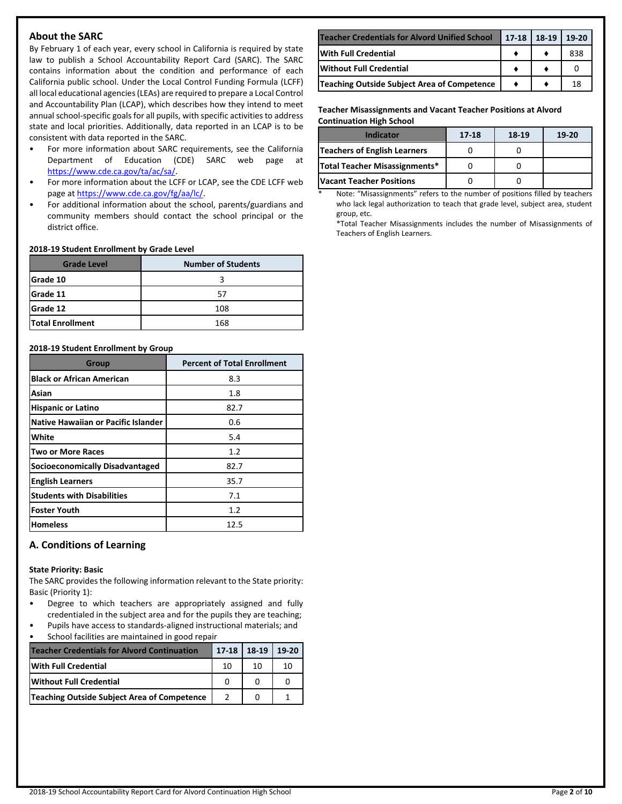### **About the SARC**

By February 1 of each year, every school in California is required by state law to publish a School Accountability Report Card (SARC). The SARC contains information about the condition and performance of each California public school. Under the Local Control Funding Formula (LCFF) all local educational agencies (LEAs) are required to prepare a Local Control and Accountability Plan (LCAP), which describes how they intend to meet annual school-specific goals for all pupils, with specific activities to address state and local priorities. Additionally, data reported in an LCAP is to be consistent with data reported in the SARC.

- For more information about SARC requirements, see the California Department of Education (CDE) SARC web page at [https://www.cde.ca.gov/ta/ac/sa/.](https://www.cde.ca.gov/ta/ac/sa/)
- For more information about the LCFF or LCAP, see the CDE LCFF web page at [https://www.cde.ca.gov/fg/aa/lc/.](https://www.cde.ca.gov/fg/aa/lc/)
- For additional information about the school, parents/guardians and community members should contact the school principal or the district office.

#### **2018-19 Student Enrollment by Grade Level**

| <b>Grade Level</b>      | <b>Number of Students</b> |  |  |
|-------------------------|---------------------------|--|--|
| <b>Grade 10</b>         |                           |  |  |
| Grade 11                | 57                        |  |  |
| Grade 12                | 108                       |  |  |
| <b>Total Enrollment</b> | 168                       |  |  |

#### **2018-19 Student Enrollment by Group**

| Group                                      | <b>Percent of Total Enrollment</b> |
|--------------------------------------------|------------------------------------|
| <b>Black or African American</b>           | 8.3                                |
| Asian                                      | 1.8                                |
| <b>Hispanic or Latino</b>                  | 82.7                               |
| <b>Native Hawaiian or Pacific Islander</b> | 0.6                                |
| White                                      | 5.4                                |
| <b>Two or More Races</b>                   | 1.2                                |
| <b>Socioeconomically Disadvantaged</b>     | 82.7                               |
| <b>English Learners</b>                    | 35.7                               |
| <b>Students with Disabilities</b>          | 7.1                                |
| <b>Foster Youth</b>                        | 1.2                                |
| <b>Homeless</b>                            | 12.5                               |

### **A. Conditions of Learning**

#### **State Priority: Basic**

The SARC provides the following information relevant to the State priority: Basic (Priority 1):

- Degree to which teachers are appropriately assigned and fully credentialed in the subject area and for the pupils they are teaching;
- Pupils have access to standards-aligned instructional materials; and School facilities are maintained in good repair

| <b>Teacher Credentials for Alvord Continuation</b> | $17-18$ 18-19 |    | 19-20 |
|----------------------------------------------------|---------------|----|-------|
| <b>With Full Credential</b>                        | 10            | 10 | 10    |
| <b>Without Full Credential</b>                     |               |    |       |
| Teaching Outside Subject Area of Competence        |               |    |       |

| <b>Teacher Credentials for Alvord Unified School</b> | 17-18 | 18-19 | $19-20$ |
|------------------------------------------------------|-------|-------|---------|
| <b>IWith Full Credential</b>                         |       |       | 838     |
| Without Full Credential                              |       |       |         |
| Teaching Outside Subject Area of Competence          |       |       | 18      |

#### **Teacher Misassignments and Vacant Teacher Positions at Alvord Continuation High School**

| Indicator                       | 17-18 | 18-19 | $19-20$ |
|---------------------------------|-------|-------|---------|
| Teachers of English Learners    |       |       |         |
| Total Teacher Misassignments*   |       |       |         |
| <b>Vacant Teacher Positions</b> |       |       |         |

Note: "Misassignments" refers to the number of positions filled by teachers who lack legal authorization to teach that grade level, subject area, student group, etc.

\*Total Teacher Misassignments includes the number of Misassignments of Teachers of English Learners.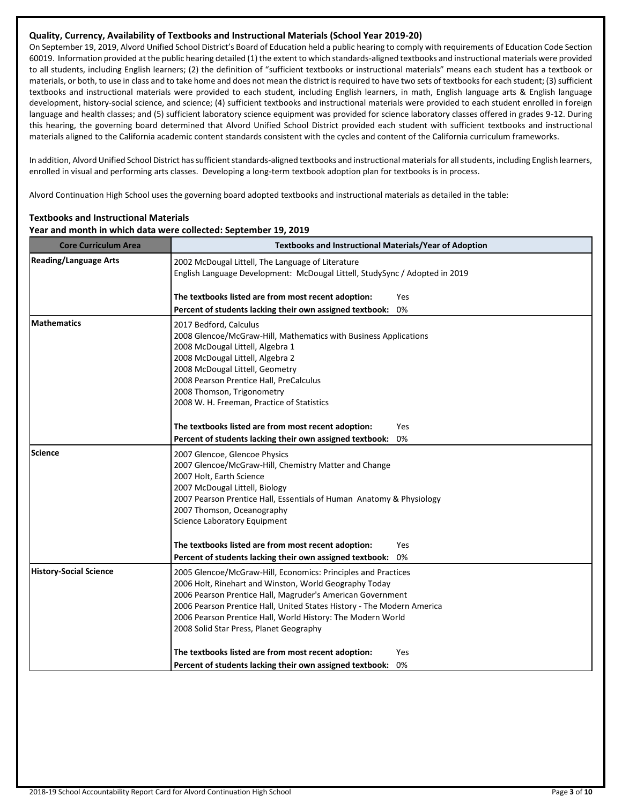### **Quality, Currency, Availability of Textbooks and Instructional Materials (School Year 2019-20)**

On September 19, 2019, Alvord Unified School District's Board of Education held a public hearing to comply with requirements of Education Code Section 60019. Information provided at the public hearing detailed (1) the extent to which standards-aligned textbooks and instructional materials were provided to all students, including English learners; (2) the definition of "sufficient textbooks or instructional materials" means each student has a textbook or materials, or both, to use in class and to take home and does not mean the district is required to have two sets of textbooks for each student; (3) sufficient textbooks and instructional materials were provided to each student, including English learners, in math, English language arts & English language development, history-social science, and science; (4) sufficient textbooks and instructional materials were provided to each student enrolled in foreign language and health classes; and (5) sufficient laboratory science equipment was provided for science laboratory classes offered in grades 9-12. During this hearing, the governing board determined that Alvord Unified School District provided each student with sufficient textbooks and instructional materials aligned to the California academic content standards consistent with the cycles and content of the California curriculum frameworks.

In addition, Alvord Unified School District has sufficient standards-aligned textbooks and instructional materials for all students, including English learners, enrolled in visual and performing arts classes. Developing a long-term textbook adoption plan for textbooks is in process.

Alvord Continuation High School uses the governing board adopted textbooks and instructional materials as detailed in the table:

### **Year and month in which data were collected: September 19, 2019 Core Curriculum Area <b>Textbooks** and Instructional Materials/Year of Adoption Reading/Language Arts **2002 McDougal Littell, The Language of Literature** English Language Development: McDougal Littell, StudySync / Adopted in 2019 **The textbooks listed are from most recent adoption:** Yes **Percent of students lacking their own assigned textbook:** 0% **Mathematics** 2017 Bedford, Calculus 2008 Glencoe/McGraw-Hill, Mathematics with Business Applications 2008 McDougal Littell, Algebra 1 2008 McDougal Littell, Algebra 2 2008 McDougal Littell, Geometry 2008 Pearson Prentice Hall, PreCalculus 2008 Thomson, Trigonometry 2008 W. H. Freeman, Practice of Statistics **The textbooks listed are from most recent adoption:** Yes **Percent of students lacking their own assigned textbook:** 0% **Science** 2007 Glencoe, Glencoe Physics 2007 Glencoe/McGraw-Hill, Chemistry Matter and Change 2007 Holt, Earth Science 2007 McDougal Littell, Biology 2007 Pearson Prentice Hall, Essentials of Human Anatomy & Physiology 2007 Thomson, Oceanography Science Laboratory Equipment **The textbooks listed are from most recent adoption:** Yes **Percent of students lacking their own assigned textbook:** 0% **History-Social Science** 2005 Glencoe/McGraw-Hill, Economics: Principles and Practices 2006 Holt, Rinehart and Winston, World Geography Today 2006 Pearson Prentice Hall, Magruder's American Government 2006 Pearson Prentice Hall, United States History - The Modern America 2006 Pearson Prentice Hall, World History: The Modern World 2008 Solid Star Press, Planet Geography **The textbooks listed are from most recent adoption:** Yes **Percent of students lacking their own assigned textbook:** 0%

**Textbooks and Instructional Materials**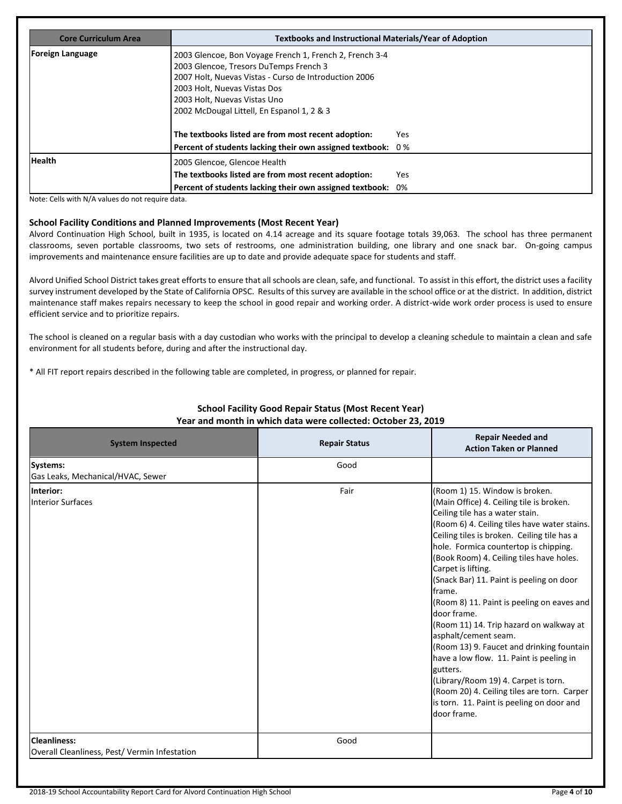| <b>Core Curriculum Area</b> | <b>Textbooks and Instructional Materials/Year of Adoption</b>                                                                                                                                                                                                            |     |  |  |  |
|-----------------------------|--------------------------------------------------------------------------------------------------------------------------------------------------------------------------------------------------------------------------------------------------------------------------|-----|--|--|--|
| <b>Foreign Language</b>     | 2003 Glencoe, Bon Voyage French 1, French 2, French 3-4<br>2003 Glencoe, Tresors DuTemps French 3<br>2007 Holt, Nuevas Vistas - Curso de Introduction 2006<br>2003 Holt, Nuevas Vistas Dos<br>2003 Holt, Nuevas Vistas Uno<br>2002 McDougal Littell, En Espanol 1, 2 & 3 |     |  |  |  |
|                             | The textbooks listed are from most recent adoption:<br>Yes<br>Percent of students lacking their own assigned textbook: 0%                                                                                                                                                |     |  |  |  |
| <b>Health</b>               | 2005 Glencoe, Glencoe Health<br>The textbooks listed are from most recent adoption:<br>Percent of students lacking their own assigned textbook: 0%                                                                                                                       | Yes |  |  |  |

Note: Cells with N/A values do not require data.

#### **School Facility Conditions and Planned Improvements (Most Recent Year)**

Alvord Continuation High School, built in 1935, is located on 4.14 acreage and its square footage totals 39,063. The school has three permanent classrooms, seven portable classrooms, two sets of restrooms, one administration building, one library and one snack bar. On-going campus improvements and maintenance ensure facilities are up to date and provide adequate space for students and staff.

Alvord Unified School District takes great efforts to ensure that all schools are clean, safe, and functional. To assist in this effort, the district uses a facility survey instrument developed by the State of California OPSC. Results of this survey are available in the school office or at the district. In addition, district maintenance staff makes repairs necessary to keep the school in good repair and working order. A district-wide work order process is used to ensure efficient service and to prioritize repairs.

The school is cleaned on a regular basis with a day custodian who works with the principal to develop a cleaning schedule to maintain a clean and safe environment for all students before, during and after the instructional day.

\* All FIT report repairs described in the following table are completed, in progress, or planned for repair.

| <b>System Inspected</b>                                             | <b>Repair Status</b> | <b>Repair Needed and</b><br><b>Action Taken or Planned</b>                                                                                                                                                                                                                                                                                                                                                                                                                                                                                                                                                                                                                                                                                                            |
|---------------------------------------------------------------------|----------------------|-----------------------------------------------------------------------------------------------------------------------------------------------------------------------------------------------------------------------------------------------------------------------------------------------------------------------------------------------------------------------------------------------------------------------------------------------------------------------------------------------------------------------------------------------------------------------------------------------------------------------------------------------------------------------------------------------------------------------------------------------------------------------|
| Systems:<br>Gas Leaks, Mechanical/HVAC, Sewer                       | Good                 |                                                                                                                                                                                                                                                                                                                                                                                                                                                                                                                                                                                                                                                                                                                                                                       |
| Interior:<br><b>Interior Surfaces</b>                               | Fair                 | (Room 1) 15. Window is broken.<br>(Main Office) 4. Ceiling tile is broken.<br>Ceiling tile has a water stain.<br>(Room 6) 4. Ceiling tiles have water stains.<br>Ceiling tiles is broken. Ceiling tile has a<br>hole. Formica countertop is chipping.<br>(Book Room) 4. Ceiling tiles have holes.<br>Carpet is lifting.<br>(Snack Bar) 11. Paint is peeling on door<br>frame.<br>(Room 8) 11. Paint is peeling on eaves and<br>door frame.<br>(Room 11) 14. Trip hazard on walkway at<br>asphalt/cement seam.<br>(Room 13) 9. Faucet and drinking fountain<br>have a low flow. 11. Paint is peeling in<br>gutters.<br>(Library/Room 19) 4. Carpet is torn.<br>(Room 20) 4. Ceiling tiles are torn. Carper<br>is torn. 11. Paint is peeling on door and<br>door frame. |
| <b>Cleanliness:</b><br>Overall Cleanliness, Pest/Vermin Infestation | Good                 |                                                                                                                                                                                                                                                                                                                                                                                                                                                                                                                                                                                                                                                                                                                                                                       |

### **School Facility Good Repair Status (Most Recent Year) Year and month in which data were collected: October 23, 2019**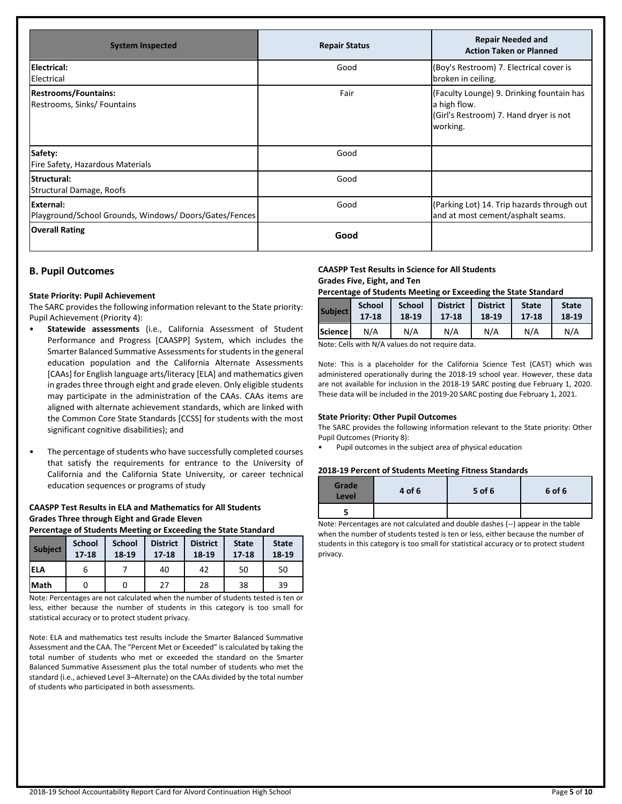| <b>System Inspected</b>                                            | <b>Repair Status</b> | <b>Repair Needed and</b><br><b>Action Taken or Planned</b>                                                      |
|--------------------------------------------------------------------|----------------------|-----------------------------------------------------------------------------------------------------------------|
| Electrical:<br>Electrical                                          | Good                 | (Boy's Restroom) 7. Electrical cover is<br>broken in ceiling.                                                   |
| <b>Restrooms/Fountains:</b><br>Restrooms, Sinks/ Fountains         | Fair                 | (Faculty Lounge) 9. Drinking fountain has<br>a high flow.<br>(Girl's Restroom) 7. Hand dryer is not<br>working. |
| Safety:<br>Fire Safety, Hazardous Materials                        | Good                 |                                                                                                                 |
| Structural:<br><b>Structural Damage, Roofs</b>                     | Good                 |                                                                                                                 |
| External:<br>Playground/School Grounds, Windows/Doors/Gates/Fences | Good                 | (Parking Lot) 14. Trip hazards through out<br>and at most cement/asphalt seams.                                 |
| <b>Overall Rating</b>                                              | Good                 |                                                                                                                 |

### **B. Pupil Outcomes**

#### **State Priority: Pupil Achievement**

The SARC provides the following information relevant to the State priority: Pupil Achievement (Priority 4):

- **Statewide assessments** (i.e., California Assessment of Student Performance and Progress [CAASPP] System, which includes the Smarter Balanced Summative Assessments for students in the general education population and the California Alternate Assessments [CAAs] for English language arts/literacy [ELA] and mathematics given in grades three through eight and grade eleven. Only eligible students may participate in the administration of the CAAs. CAAs items are aligned with alternate achievement standards, which are linked with the Common Core State Standards [CCSS] for students with the most significant cognitive disabilities); and
- The percentage of students who have successfully completed courses that satisfy the requirements for entrance to the University of California and the California State University, or career technical education sequences or programs of study

#### **CAASPP Test Results in ELA and Mathematics for All Students Grades Three through Eight and Grade Eleven**

#### **Percentage of Students Meeting or Exceeding the State Standard**

| <b>Subject</b> | <b>School</b><br>$17 - 18$ | <b>School</b><br>18-19 | <b>District</b><br>$17 - 18$ | <b>District</b><br>18-19 | <b>State</b><br>$17 - 18$ | <b>State</b><br>18-19 |
|----------------|----------------------------|------------------------|------------------------------|--------------------------|---------------------------|-----------------------|
| lela           |                            |                        | 40                           | 42                       | 50                        | 50                    |
| Math           |                            |                        | つフ                           | 28                       | 38                        | 39                    |

Note: Percentages are not calculated when the number of students tested is ten or less, either because the number of students in this category is too small for statistical accuracy or to protect student privacy.

Note: ELA and mathematics test results include the Smarter Balanced Summative Assessment and the CAA. The "Percent Met or Exceeded" is calculated by taking the total number of students who met or exceeded the standard on the Smarter Balanced Summative Assessment plus the total number of students who met the standard (i.e., achieved Level 3–Alternate) on the CAAs divided by the total number of students who participated in both assessments.

### **CAASPP Test Results in Science for All Students Grades Five, Eight, and Ten**

#### **Percentage of Students Meeting or Exceeding the State Standard**

| <b>Subject</b> | <b>School</b> | <b>School</b> | <b>District</b> | <b>District</b> | <b>State</b> | <b>State</b> |
|----------------|---------------|---------------|-----------------|-----------------|--------------|--------------|
|                | $17 - 18$     | 18-19         | 17-18           | 18-19           | 17-18        | 18-19        |
| Science I      | N/A           | N/A           | N/A             | N/A             | N/A          | N/A          |

Note: Cells with N/A values do not require data.

Note: This is a placeholder for the California Science Test (CAST) which was administered operationally during the 2018-19 school year. However, these data are not available for inclusion in the 2018-19 SARC posting due February 1, 2020. These data will be included in the 2019-20 SARC posting due February 1, 2021.

#### **State Priority: Other Pupil Outcomes**

The SARC provides the following information relevant to the State priority: Other Pupil Outcomes (Priority 8):

• Pupil outcomes in the subject area of physical education

#### **2018-19 Percent of Students Meeting Fitness Standards**

| Grade<br>Level | 4 of 6 | 5 of 6 | 6 of 6 |
|----------------|--------|--------|--------|
|                |        |        |        |

Note: Percentages are not calculated and double dashes (--) appear in the table when the number of students tested is ten or less, either because the number of students in this category is too small for statistical accuracy or to protect student privacy.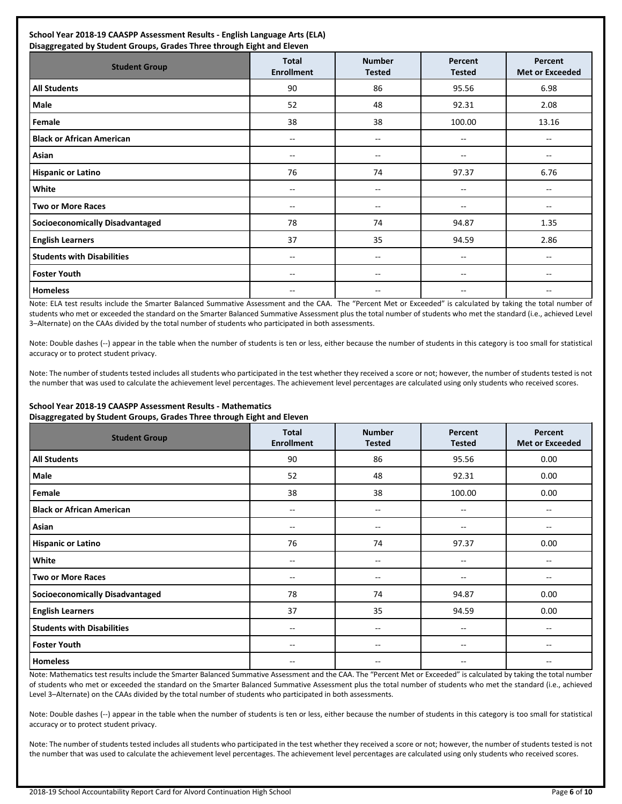| <b>Student Group</b>                   | <b>Total</b><br><b>Enrollment</b> | <b>Number</b><br><b>Tested</b>        | Percent<br><b>Tested</b>              | Percent<br><b>Met or Exceeded</b>     |
|----------------------------------------|-----------------------------------|---------------------------------------|---------------------------------------|---------------------------------------|
| <b>All Students</b>                    | 90                                | 86                                    | 95.56                                 | 6.98                                  |
| Male                                   | 52                                | 48                                    | 92.31                                 | 2.08                                  |
|                                        |                                   |                                       |                                       |                                       |
| Female                                 | 38                                | 38                                    | 100.00                                | 13.16                                 |
| <b>Black or African American</b>       | --                                | $\hspace{0.05cm}$ – $\hspace{0.05cm}$ | $\hspace{0.05cm}$ – $\hspace{0.05cm}$ | $\hspace{0.05cm}$ – $\hspace{0.05cm}$ |
| Asian                                  | --                                | --                                    | --                                    | --                                    |
| <b>Hispanic or Latino</b>              | 76                                | 74                                    | 97.37                                 | 6.76                                  |
| White                                  | --                                | --                                    | --                                    | --                                    |
| <b>Two or More Races</b>               | --                                | $\hspace{0.05cm}$ – $\hspace{0.05cm}$ | $\hspace{0.05cm}$ – $\hspace{0.05cm}$ | $\hspace{0.05cm}$ – $\hspace{0.05cm}$ |
| <b>Socioeconomically Disadvantaged</b> | 78                                | 74                                    | 94.87                                 | 1.35                                  |
| <b>English Learners</b>                | 37                                | 35                                    | 94.59                                 | 2.86                                  |
| <b>Students with Disabilities</b>      | --                                | $\hspace{0.05cm}$ – $\hspace{0.05cm}$ | $\hspace{0.05cm}$ – $\hspace{0.05cm}$ | --                                    |
| <b>Foster Youth</b>                    | --                                | $\hspace{0.05cm}$ – $\hspace{0.05cm}$ | $\hspace{0.05cm}$ – $\hspace{0.05cm}$ | --                                    |
| <b>Homeless</b>                        |                                   |                                       | --                                    |                                       |

Note: ELA test results include the Smarter Balanced Summative Assessment and the CAA. The "Percent Met or Exceeded" is calculated by taking the total number of students who met or exceeded the standard on the Smarter Balanced Summative Assessment plus the total number of students who met the standard (i.e., achieved Level 3–Alternate) on the CAAs divided by the total number of students who participated in both assessments.

Note: Double dashes (--) appear in the table when the number of students is ten or less, either because the number of students in this category is too small for statistical accuracy or to protect student privacy.

Note: The number of students tested includes all students who participated in the test whether they received a score or not; however, the number of students tested is not the number that was used to calculate the achievement level percentages. The achievement level percentages are calculated using only students who received scores.

#### **School Year 2018-19 CAASPP Assessment Results - Mathematics Disaggregated by Student Groups, Grades Three through Eight and Eleven**

| ິ<br>$\sim$ .<br>.<br>$  -$<br>ັ<br><b>Student Group</b> | ັ<br><b>Total</b><br><b>Enrollment</b> | <b>Number</b><br><b>Tested</b>        | Percent<br><b>Tested</b> | Percent<br>Met or Exceeded |
|----------------------------------------------------------|----------------------------------------|---------------------------------------|--------------------------|----------------------------|
| <b>All Students</b>                                      | 90                                     | 86                                    | 95.56                    | 0.00                       |
| Male                                                     | 52                                     | 48                                    | 92.31                    | 0.00                       |
| Female                                                   | 38                                     | 38                                    | 100.00                   | 0.00                       |
| <b>Black or African American</b>                         | $- -$                                  | --                                    |                          |                            |
| Asian                                                    | --                                     | $\hspace{0.05cm}$ – $\hspace{0.05cm}$ | --                       | --                         |
| <b>Hispanic or Latino</b>                                | 76                                     | 74                                    | 97.37                    | 0.00                       |
| White                                                    | --                                     | --                                    | --                       | --                         |
| <b>Two or More Races</b>                                 | --                                     | --                                    | $- -$                    |                            |
| <b>Socioeconomically Disadvantaged</b>                   | 78                                     | 74                                    | 94.87                    | 0.00                       |
| <b>English Learners</b>                                  | 37                                     | 35                                    | 94.59                    | 0.00                       |
| <b>Students with Disabilities</b>                        | --                                     | --                                    | --                       |                            |
| <b>Foster Youth</b>                                      | $- -$                                  | $\overline{\phantom{m}}$              | $-$                      | --                         |
| <b>Homeless</b>                                          | $- -$                                  | $\qquad \qquad -$                     | $-$                      | --                         |

Note: Mathematics test results include the Smarter Balanced Summative Assessment and the CAA. The "Percent Met or Exceeded" is calculated by taking the total number of students who met or exceeded the standard on the Smarter Balanced Summative Assessment plus the total number of students who met the standard (i.e., achieved Level 3–Alternate) on the CAAs divided by the total number of students who participated in both assessments.

Note: Double dashes (--) appear in the table when the number of students is ten or less, either because the number of students in this category is too small for statistical accuracy or to protect student privacy.

Note: The number of students tested includes all students who participated in the test whether they received a score or not; however, the number of students tested is not the number that was used to calculate the achievement level percentages. The achievement level percentages are calculated using only students who received scores.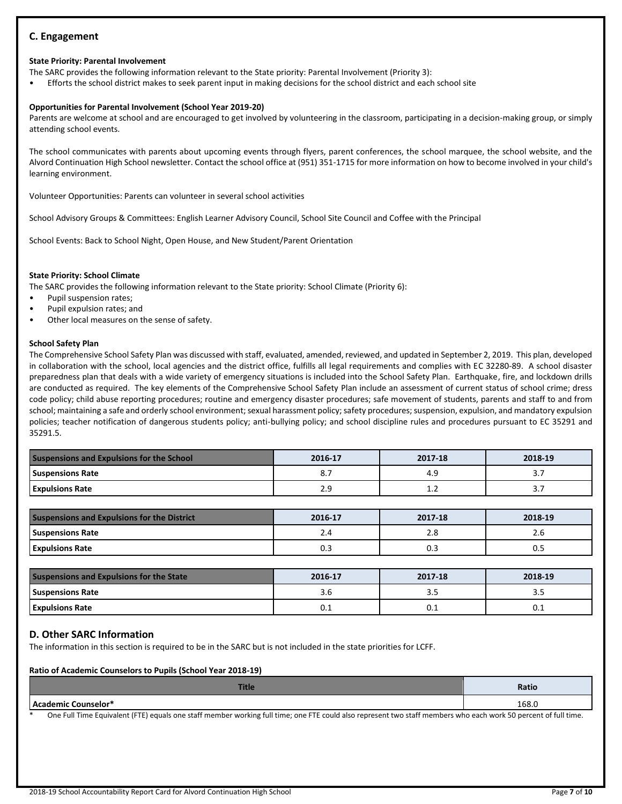### **C. Engagement**

### **State Priority: Parental Involvement**

The SARC provides the following information relevant to the State priority: Parental Involvement (Priority 3):

• Efforts the school district makes to seek parent input in making decisions for the school district and each school site

### **Opportunities for Parental Involvement (School Year 2019-20)**

Parents are welcome at school and are encouraged to get involved by volunteering in the classroom, participating in a decision-making group, or simply attending school events.

The school communicates with parents about upcoming events through flyers, parent conferences, the school marquee, the school website, and the Alvord Continuation High School newsletter. Contact the school office at (951) 351-1715 for more information on how to become involved in your child's learning environment.

Volunteer Opportunities: Parents can volunteer in several school activities

School Advisory Groups & Committees: English Learner Advisory Council, School Site Council and Coffee with the Principal

School Events: Back to School Night, Open House, and New Student/Parent Orientation

### **State Priority: School Climate**

The SARC provides the following information relevant to the State priority: School Climate (Priority 6):

- Pupil suspension rates;
- Pupil expulsion rates; and
- Other local measures on the sense of safety.

### **School Safety Plan**

The Comprehensive School Safety Plan was discussed with staff, evaluated, amended, reviewed, and updated in September 2, 2019. This plan, developed in collaboration with the school, local agencies and the district office, fulfills all legal requirements and complies with EC 32280-89. A school disaster preparedness plan that deals with a wide variety of emergency situations is included into the School Safety Plan. Earthquake, fire, and lockdown drills are conducted as required. The key elements of the Comprehensive School Safety Plan include an assessment of current status of school crime; dress code policy; child abuse reporting procedures; routine and emergency disaster procedures; safe movement of students, parents and staff to and from school; maintaining a safe and orderly school environment; sexual harassment policy; safety procedures; suspension, expulsion, and mandatory expulsion policies; teacher notification of dangerous students policy; anti-bullying policy; and school discipline rules and procedures pursuant to EC 35291 and 35291.5.

| <b>Suspensions and Expulsions for the School</b> | 2016-17 | 2017-18 | 2018-19    |
|--------------------------------------------------|---------|---------|------------|
| <b>Suspensions Rate</b>                          | <b></b> | 4.9     | <u>. .</u> |
| <b>Expulsions Rate</b>                           | 2.9     | ∸∙      | <u>. .</u> |

| <b>Suspensions and Expulsions for the District</b> | 2016-17 | 2017-18 | 2018-19 |
|----------------------------------------------------|---------|---------|---------|
| <b>Suspensions Rate</b>                            |         | 2.8     | 2.b     |
| <b>Expulsions Rate</b>                             | 0.3     | U.:     |         |

| Suspensions and Expulsions for the State | 2016-17 | 2017-18 | 2018-19 |
|------------------------------------------|---------|---------|---------|
| <b>Suspensions Rate</b>                  | 3.O     | ---     |         |
| <b>Expulsions Rate</b>                   | U. L    | U.I     | ∪.⊥     |

### **D. Other SARC Information**

The information in this section is required to be in the SARC but is not included in the state priorities for LCFF.

### **Ratio of Academic Counselors to Pupils (School Year 2018-19)**

|                                                                                                                                                           | Ratio |  |  |  |
|-----------------------------------------------------------------------------------------------------------------------------------------------------------|-------|--|--|--|
| <b>LAcademic Counselor*</b>                                                                                                                               | 168.0 |  |  |  |
| One Full Time Facilitate (FTF) and heart and marked condition full time, and FTF and also accompanies in the marked colorador and condition of full time. |       |  |  |  |

One Full Time Equivalent (FTE) equals one staff member working full time; one FTE could also represent two staff members who each work 50 percent of full time.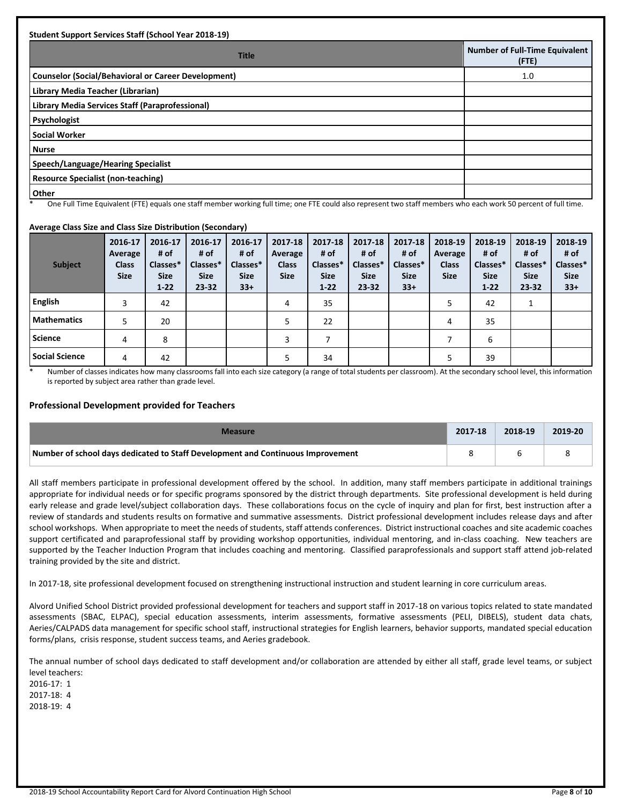| <b>Student Support Services Staff (School Year 2018-19)</b>                                                                                                   |                                                |
|---------------------------------------------------------------------------------------------------------------------------------------------------------------|------------------------------------------------|
| <b>Title</b>                                                                                                                                                  | <b>Number of Full-Time Equivalent</b><br>(FTE) |
| <b>Counselor (Social/Behavioral or Career Development)</b>                                                                                                    | 1.0                                            |
| Library Media Teacher (Librarian)                                                                                                                             |                                                |
| Library Media Services Staff (Paraprofessional)                                                                                                               |                                                |
| Psychologist                                                                                                                                                  |                                                |
| <b>Social Worker</b>                                                                                                                                          |                                                |
| <b>Nurse</b>                                                                                                                                                  |                                                |
| Speech/Language/Hearing Specialist                                                                                                                            |                                                |
| <b>Resource Specialist (non-teaching)</b>                                                                                                                     |                                                |
| <b>Other</b><br>One Full This Control of HTF) annuals and distinguished and the company of the distinguished and manufacturers in the conditions of full then |                                                |

One Full Time Equivalent (FTE) equals one staff member working full time; one FTE could also represent two staff members who each work 50 percent of full time.

### **Average Class Size and Class Size Distribution (Secondary)**

| <b>Subject</b>        | 2016-17<br>Average<br><b>Class</b><br><b>Size</b> | 2016-17<br># of<br>Classes*<br><b>Size</b><br>$1 - 22$ | 2016-17<br># of<br>Classes*<br><b>Size</b><br>$23 - 32$ | 2016-17<br># of<br>Classes*<br><b>Size</b><br>$33+$ | 2017-18<br>Average<br><b>Class</b><br><b>Size</b> | 2017-18<br># of<br>Classes*<br><b>Size</b><br>$1 - 22$ | 2017-18<br># of<br>Classes*<br><b>Size</b><br>$23 - 32$ | 2017-18<br># of<br>Classes*<br><b>Size</b><br>$33+$ | 2018-19<br>Average<br><b>Class</b><br><b>Size</b> | 2018-19<br># of<br>Classes*<br><b>Size</b><br>$1 - 22$ | 2018-19<br># of<br>Classes*<br><b>Size</b><br>$23 - 32$ | 2018-19<br># of<br>Classes*<br><b>Size</b><br>$33+$ |
|-----------------------|---------------------------------------------------|--------------------------------------------------------|---------------------------------------------------------|-----------------------------------------------------|---------------------------------------------------|--------------------------------------------------------|---------------------------------------------------------|-----------------------------------------------------|---------------------------------------------------|--------------------------------------------------------|---------------------------------------------------------|-----------------------------------------------------|
| English               | 3                                                 | 42                                                     |                                                         |                                                     | 4                                                 | 35                                                     |                                                         |                                                     | 5                                                 | 42                                                     |                                                         |                                                     |
| <b>Mathematics</b>    | 5                                                 | 20                                                     |                                                         |                                                     | 5                                                 | 22                                                     |                                                         |                                                     | 4                                                 | 35                                                     |                                                         |                                                     |
| <b>Science</b>        | 4                                                 | 8                                                      |                                                         |                                                     | 3                                                 |                                                        |                                                         |                                                     |                                                   | 6                                                      |                                                         |                                                     |
| <b>Social Science</b> | 4                                                 | 42                                                     |                                                         |                                                     |                                                   | 34                                                     |                                                         |                                                     | 5                                                 | 39                                                     |                                                         |                                                     |

\* Number of classes indicates how many classrooms fall into each size category (a range of total students per classroom). At the secondary school level, this information is reported by subject area rather than grade level.

### **Professional Development provided for Teachers**

| Measure                                                                         | 2017-18 | 2018-19 | 2019-20 |
|---------------------------------------------------------------------------------|---------|---------|---------|
| Number of school days dedicated to Staff Development and Continuous Improvement |         |         |         |

All staff members participate in professional development offered by the school. In addition, many staff members participate in additional trainings appropriate for individual needs or for specific programs sponsored by the district through departments. Site professional development is held during early release and grade level/subject collaboration days. These collaborations focus on the cycle of inquiry and plan for first, best instruction after a review of standards and students results on formative and summative assessments. District professional development includes release days and after school workshops. When appropriate to meet the needs of students, staff attends conferences. District instructional coaches and site academic coaches support certificated and paraprofessional staff by providing workshop opportunities, individual mentoring, and in-class coaching. New teachers are supported by the Teacher Induction Program that includes coaching and mentoring. Classified paraprofessionals and support staff attend job-related training provided by the site and district.

In 2017-18, site professional development focused on strengthening instructional instruction and student learning in core curriculum areas.

Alvord Unified School District provided professional development for teachers and support staff in 2017-18 on various topics related to state mandated assessments (SBAC, ELPAC), special education assessments, interim assessments, formative assessments (PELI, DIBELS), student data chats, Aeries/CALPADS data management for specific school staff, instructional strategies for English learners, behavior supports, mandated special education forms/plans, crisis response, student success teams, and Aeries gradebook.

The annual number of school days dedicated to staff development and/or collaboration are attended by either all staff, grade level teams, or subject level teachers:

2016-17: 1 2017-18: 4 2018-19: 4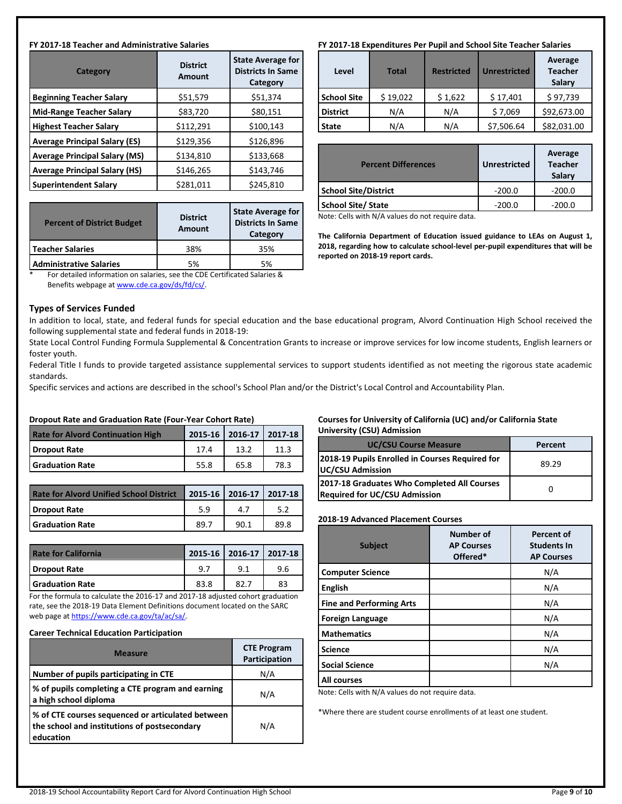#### **FY 2017-18 Teacher and Administrative Salaries**

| Category                             | <b>District</b><br>Amount | <b>State Average for</b><br><b>Districts In Same</b><br>Category |  |
|--------------------------------------|---------------------------|------------------------------------------------------------------|--|
| <b>Beginning Teacher Salary</b>      | \$51,579                  | \$51,374                                                         |  |
| <b>Mid-Range Teacher Salary</b>      | \$83,720                  | \$80,151                                                         |  |
| <b>Highest Teacher Salary</b>        | \$112,291                 | \$100,143                                                        |  |
| <b>Average Principal Salary (ES)</b> | \$129,356                 | \$126,896                                                        |  |
| <b>Average Principal Salary (MS)</b> | \$134,810                 | \$133,668                                                        |  |
| <b>Average Principal Salary (HS)</b> | \$146,265                 | \$143,746                                                        |  |
| <b>Superintendent Salary</b>         | \$281,011                 | \$245,810                                                        |  |

| <b>Percent of District Budget</b> | <b>District</b><br><b>Amount</b> | <b>State Average for</b><br><b>Districts In Same</b><br>Category |
|-----------------------------------|----------------------------------|------------------------------------------------------------------|
| Teacher Salaries                  | 38%                              | 35%                                                              |
| <b>Administrative Salaries</b>    | 5%                               | 5%                                                               |

For detailed information on salaries, see the CDE Certificated Salaries & Benefits webpage a[t www.cde.ca.gov/ds/fd/cs/.](http://www.cde.ca.gov/ds/fd/cs/)

#### **Types of Services Funded**

In addition to local, state, and federal funds for special education and the base educational program, Alvord Continuation High School received the following supplemental state and federal funds in 2018-19:

State Local Control Funding Formula Supplemental & Concentration Grants to increase or improve services for low income students, English learners or foster youth.

Federal Title I funds to provide targeted assistance supplemental services to support students identified as not meeting the rigorous state academic standards.

Specific services and actions are described in the school's School Plan and/or the District's Local Control and Accountability Plan.

| Dropout Rate and Graduation Rate (Four-Year Cohort Rate)            |      |      |      |  |  |
|---------------------------------------------------------------------|------|------|------|--|--|
| 2015-16 2016-17 2017-18<br><b>Rate for Alvord Continuation High</b> |      |      |      |  |  |
| Dropout Rate                                                        | 17.4 | 13.2 | 11.3 |  |  |
| <b>Graduation Rate</b>                                              | 55.8 | 65.8 | 78.3 |  |  |

| <b>Rate for Alvord Unified School District</b> |      | 2015-16 2016-17 2017-18 |      |
|------------------------------------------------|------|-------------------------|------|
| Dropout Rate                                   | 5.9  |                         |      |
| <b>Graduation Rate</b>                         | 89 T | 90.1                    | 89 R |

| <b>Rate for California</b> |      | 2015-16 2016-17 2017-18 |     |
|----------------------------|------|-------------------------|-----|
| l Dropout Rate             | 9.7  | 9.1                     | 9.6 |
| <b>Graduation Rate</b>     | 83.8 | 82.7                    | 83  |

For the formula to calculate the 2016-17 and 2017-18 adjusted cohort graduation rate, see the 2018-19 Data Element Definitions document located on the SARC web page a[t https://www.cde.ca.gov/ta/ac/sa/.](https://www.cde.ca.gov/ta/ac/sa/) 

#### **Career Technical Education Participation**

| <b>Measure</b>                                                                                                 | <b>CTE Program</b><br>Participation |
|----------------------------------------------------------------------------------------------------------------|-------------------------------------|
| Number of pupils participating in CTE                                                                          | N/A                                 |
| % of pupils completing a CTE program and earning<br>a high school diploma                                      | N/A                                 |
| % of CTE courses sequenced or articulated between<br>the school and institutions of postsecondary<br>education | N/A                                 |

#### **FY 2017-18 Expenditures Per Pupil and School Site Teacher Salaries**

| Level              | <b>Total</b> | <b>Restricted</b> | <b>Unrestricted</b> | Average<br><b>Teacher</b><br>Salary |
|--------------------|--------------|-------------------|---------------------|-------------------------------------|
| <b>School Site</b> | \$19,022     | \$1,622           | \$17,401            | \$97,739                            |
| <b>District</b>    | N/A          | N/A               | \$7,069             | \$92,673.00                         |
| <b>State</b>       | N/A          | N/A               | \$7,506.64          | \$82,031.00                         |

| <b>Percent Differences</b>  | <b>Unrestricted</b> | Average<br><b>Teacher</b><br>Salary |
|-----------------------------|---------------------|-------------------------------------|
| <b>School Site/District</b> | $-200.0$            | $-200.0$                            |
| <b>School Site/ State</b>   | $-200.0$            | $-200.0$                            |
| .<br>$\sim$                 |                     |                                     |

Note: Cells with N/A values do not require data.

**The California Department of Education issued guidance to LEAs on August 1, 2018, regarding how to calculate school-level per-pupil expenditures that will be reported on 2018-19 report cards.**

### **Courses for University of California (UC) and/or California State University (CSU) Admission**

| <b>UC/CSU Course Measure</b>                                                        | Percent |
|-------------------------------------------------------------------------------------|---------|
| 2018-19 Pupils Enrolled in Courses Required for<br>UC/CSU Admission                 | 89.29   |
| 2017-18 Graduates Who Completed All Courses<br><b>Required for UC/CSU Admission</b> |         |

#### **2018-19 Advanced Placement Courses**

| <b>Subject</b>                  | <b>Number of</b><br><b>AP Courses</b><br>Offered* | <b>Percent of</b><br><b>Students In</b><br><b>AP Courses</b> |
|---------------------------------|---------------------------------------------------|--------------------------------------------------------------|
| <b>Computer Science</b>         |                                                   | N/A                                                          |
| <b>English</b>                  |                                                   | N/A                                                          |
| <b>Fine and Performing Arts</b> |                                                   | N/A                                                          |
| <b>Foreign Language</b>         |                                                   | N/A                                                          |
| <b>Mathematics</b>              |                                                   | N/A                                                          |
| <b>Science</b>                  |                                                   | N/A                                                          |
| <b>Social Science</b>           |                                                   | N/A                                                          |
| <b>All courses</b>              |                                                   |                                                              |

Note: Cells with N/A values do not require data.

\*Where there are student course enrollments of at least one student.